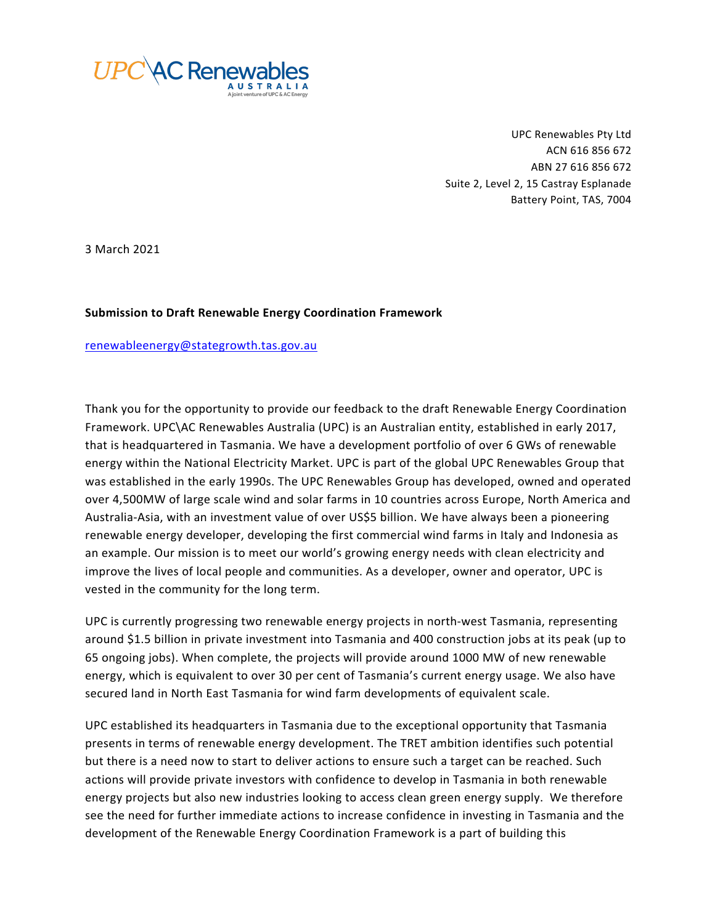

UPC Renewables Pty Ltd ACN 616 856 672 ABN 27 616 856 672 Suite 2, Level 2, 15 Castray Esplanade Battery Point, TAS, 7004

3 March 2021

# **Submission to Draft Renewable Energy Coordination Framework**

## renewableenergy@stategrowth.tas.gov.au

Thank you for the opportunity to provide our feedback to the draft Renewable Energy Coordination Framework. UPC\AC Renewables Australia (UPC) is an Australian entity, established in early 2017, that is headquartered in Tasmania. We have a development portfolio of over 6 GWs of renewable energy within the National Electricity Market. UPC is part of the global UPC Renewables Group that was established in the early 1990s. The UPC Renewables Group has developed, owned and operated over 4,500MW of large scale wind and solar farms in 10 countries across Europe, North America and Australia-Asia, with an investment value of over US\$5 billion. We have always been a pioneering renewable energy developer, developing the first commercial wind farms in Italy and Indonesia as an example. Our mission is to meet our world's growing energy needs with clean electricity and improve the lives of local people and communities. As a developer, owner and operator, UPC is vested in the community for the long term.

UPC is currently progressing two renewable energy projects in north-west Tasmania, representing around \$1.5 billion in private investment into Tasmania and 400 construction jobs at its peak (up to 65 ongoing jobs). When complete, the projects will provide around 1000 MW of new renewable energy, which is equivalent to over 30 per cent of Tasmania's current energy usage. We also have secured land in North East Tasmania for wind farm developments of equivalent scale.

UPC established its headquarters in Tasmania due to the exceptional opportunity that Tasmania presents in terms of renewable energy development. The TRET ambition identifies such potential but there is a need now to start to deliver actions to ensure such a target can be reached. Such actions will provide private investors with confidence to develop in Tasmania in both renewable energy projects but also new industries looking to access clean green energy supply. We therefore see the need for further immediate actions to increase confidence in investing in Tasmania and the development of the Renewable Energy Coordination Framework is a part of building this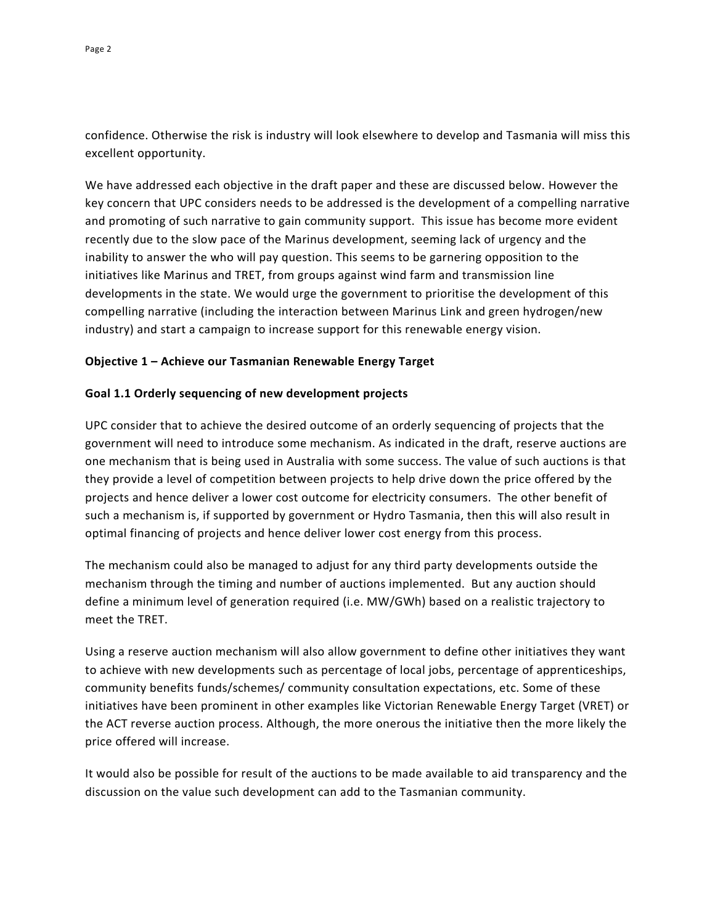confidence. Otherwise the risk is industry will look elsewhere to develop and Tasmania will miss this excellent opportunity.

We have addressed each objective in the draft paper and these are discussed below. However the key concern that UPC considers needs to be addressed is the development of a compelling narrative and promoting of such narrative to gain community support. This issue has become more evident recently due to the slow pace of the Marinus development, seeming lack of urgency and the inability to answer the who will pay question. This seems to be garnering opposition to the initiatives like Marinus and TRET, from groups against wind farm and transmission line developments in the state. We would urge the government to prioritise the development of this compelling narrative (including the interaction between Marinus Link and green hydrogen/new industry) and start a campaign to increase support for this renewable energy vision.

## **Objective 1 – Achieve our Tasmanian Renewable Energy Target**

## **Goal 1.1 Orderly sequencing of new development projects**

UPC consider that to achieve the desired outcome of an orderly sequencing of projects that the government will need to introduce some mechanism. As indicated in the draft, reserve auctions are one mechanism that is being used in Australia with some success. The value of such auctions is that they provide a level of competition between projects to help drive down the price offered by the projects and hence deliver a lower cost outcome for electricity consumers. The other benefit of such a mechanism is, if supported by government or Hydro Tasmania, then this will also result in optimal financing of projects and hence deliver lower cost energy from this process.

The mechanism could also be managed to adjust for any third party developments outside the mechanism through the timing and number of auctions implemented. But any auction should define a minimum level of generation required (i.e. MW/GWh) based on a realistic trajectory to meet the TRET.

Using a reserve auction mechanism will also allow government to define other initiatives they want to achieve with new developments such as percentage of local jobs, percentage of apprenticeships, community benefits funds/schemes/ community consultation expectations, etc. Some of these initiatives have been prominent in other examples like Victorian Renewable Energy Target (VRET) or the ACT reverse auction process. Although, the more onerous the initiative then the more likely the price offered will increase.

It would also be possible for result of the auctions to be made available to aid transparency and the discussion on the value such development can add to the Tasmanian community.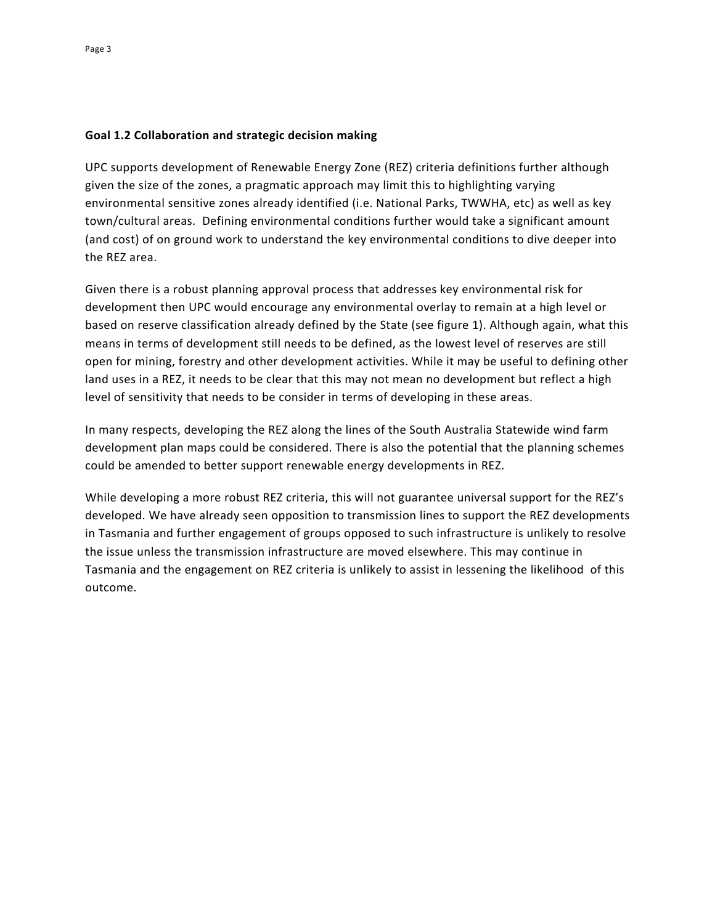# **Goal 1.2 Collaboration and strategic decision making**

UPC supports development of Renewable Energy Zone (REZ) criteria definitions further although given the size of the zones, a pragmatic approach may limit this to highlighting varying environmental sensitive zones already identified (i.e. National Parks, TWWHA, etc) as well as key town/cultural areas. Defining environmental conditions further would take a significant amount (and cost) of on ground work to understand the key environmental conditions to dive deeper into the REZ area.

Given there is a robust planning approval process that addresses key environmental risk for development then UPC would encourage any environmental overlay to remain at a high level or based on reserve classification already defined by the State (see figure 1). Although again, what this means in terms of development still needs to be defined, as the lowest level of reserves are still open for mining, forestry and other development activities. While it may be useful to defining other land uses in a REZ, it needs to be clear that this may not mean no development but reflect a high level of sensitivity that needs to be consider in terms of developing in these areas.

In many respects, developing the REZ along the lines of the South Australia Statewide wind farm development plan maps could be considered. There is also the potential that the planning schemes could be amended to better support renewable energy developments in REZ.

While developing a more robust REZ criteria, this will not guarantee universal support for the REZ's developed. We have already seen opposition to transmission lines to support the REZ developments in Tasmania and further engagement of groups opposed to such infrastructure is unlikely to resolve the issue unless the transmission infrastructure are moved elsewhere. This may continue in Tasmania and the engagement on REZ criteria is unlikely to assist in lessening the likelihood of this outcome.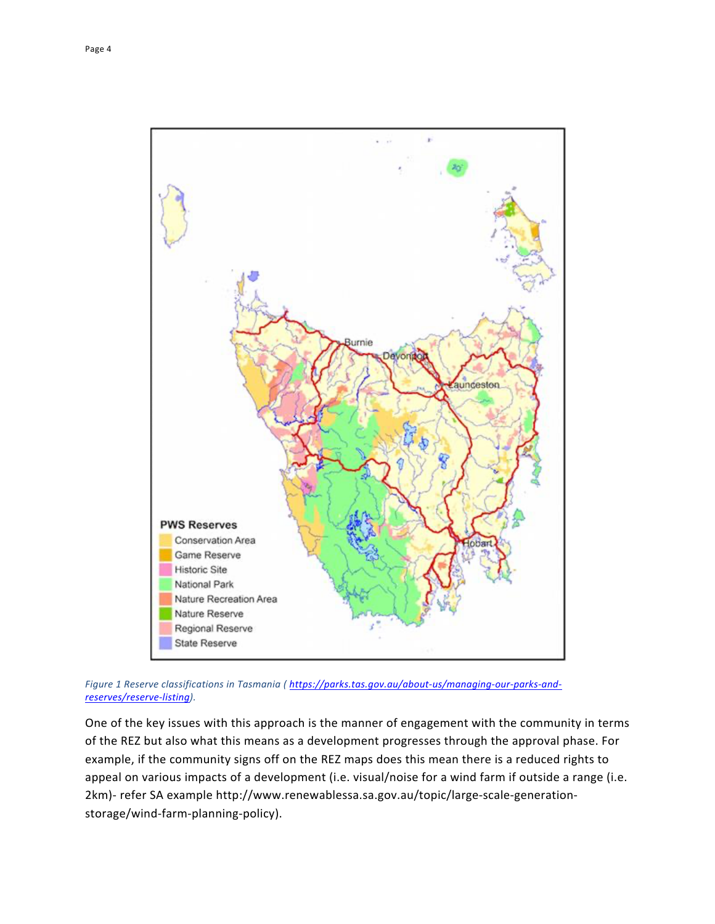

*Figure 1 Reserve classifications in Tasmania ( https://parks.tas.gov.au/about-us/managing-our-parks-andreserves/reserve-listing).* 

One of the key issues with this approach is the manner of engagement with the community in terms of the REZ but also what this means as a development progresses through the approval phase. For example, if the community signs off on the REZ maps does this mean there is a reduced rights to appeal on various impacts of a development (i.e. visual/noise for a wind farm if outside a range (i.e. 2km)- refer SA example http://www.renewablessa.sa.gov.au/topic/large-scale-generationstorage/wind-farm-planning-policy).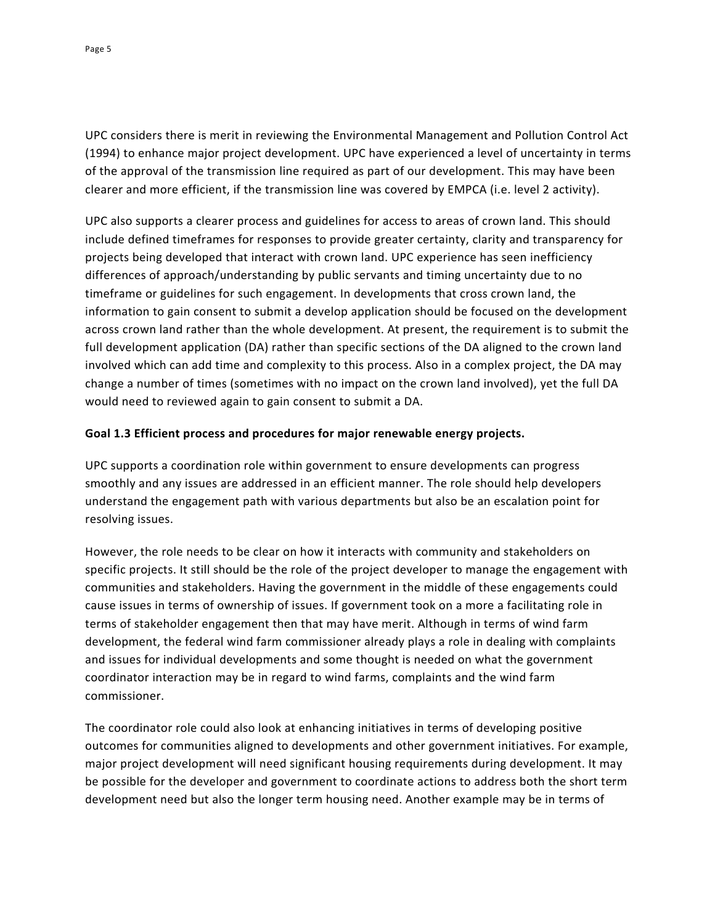UPC considers there is merit in reviewing the Environmental Management and Pollution Control Act (1994) to enhance major project development. UPC have experienced a level of uncertainty in terms of the approval of the transmission line required as part of our development. This may have been clearer and more efficient, if the transmission line was covered by EMPCA (i.e. level 2 activity).

UPC also supports a clearer process and guidelines for access to areas of crown land. This should include defined timeframes for responses to provide greater certainty, clarity and transparency for projects being developed that interact with crown land. UPC experience has seen inefficiency differences of approach/understanding by public servants and timing uncertainty due to no timeframe or guidelines for such engagement. In developments that cross crown land, the information to gain consent to submit a develop application should be focused on the development across crown land rather than the whole development. At present, the requirement is to submit the full development application (DA) rather than specific sections of the DA aligned to the crown land involved which can add time and complexity to this process. Also in a complex project, the DA may change a number of times (sometimes with no impact on the crown land involved), yet the full DA would need to reviewed again to gain consent to submit a DA.

# **Goal 1.3 Efficient process and procedures for major renewable energy projects.**

UPC supports a coordination role within government to ensure developments can progress smoothly and any issues are addressed in an efficient manner. The role should help developers understand the engagement path with various departments but also be an escalation point for resolving issues.

However, the role needs to be clear on how it interacts with community and stakeholders on specific projects. It still should be the role of the project developer to manage the engagement with communities and stakeholders. Having the government in the middle of these engagements could cause issues in terms of ownership of issues. If government took on a more a facilitating role in terms of stakeholder engagement then that may have merit. Although in terms of wind farm development, the federal wind farm commissioner already plays a role in dealing with complaints and issues for individual developments and some thought is needed on what the government coordinator interaction may be in regard to wind farms, complaints and the wind farm commissioner.

The coordinator role could also look at enhancing initiatives in terms of developing positive outcomes for communities aligned to developments and other government initiatives. For example, major project development will need significant housing requirements during development. It may be possible for the developer and government to coordinate actions to address both the short term development need but also the longer term housing need. Another example may be in terms of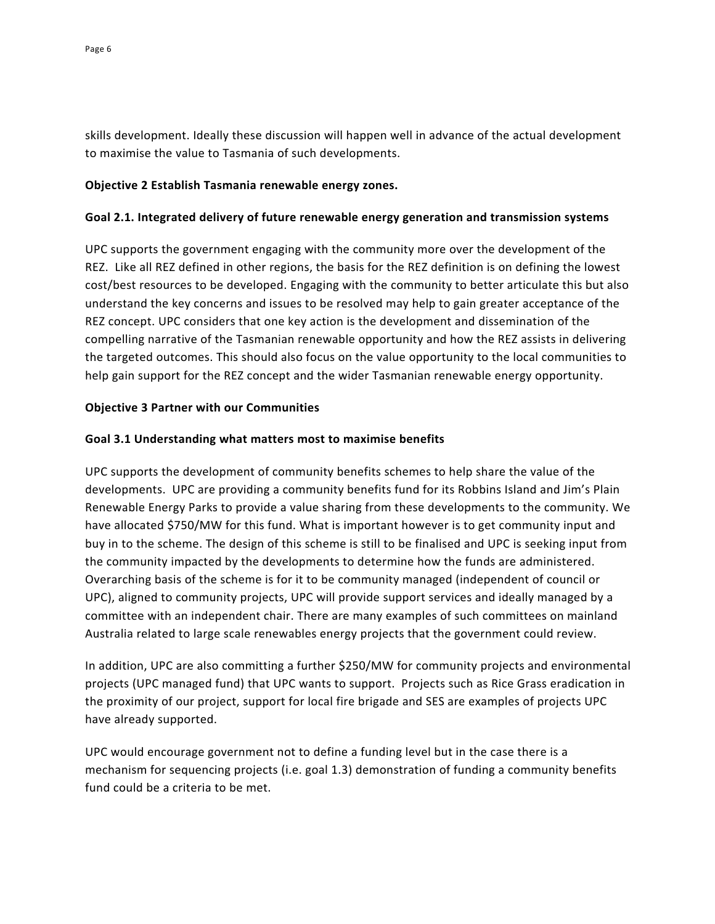skills development. Ideally these discussion will happen well in advance of the actual development to maximise the value to Tasmania of such developments.

## **Objective 2 Establish Tasmania renewable energy zones.**

## **Goal 2.1. Integrated delivery of future renewable energy generation and transmission systems**

UPC supports the government engaging with the community more over the development of the REZ. Like all REZ defined in other regions, the basis for the REZ definition is on defining the lowest cost/best resources to be developed. Engaging with the community to better articulate this but also understand the key concerns and issues to be resolved may help to gain greater acceptance of the REZ concept. UPC considers that one key action is the development and dissemination of the compelling narrative of the Tasmanian renewable opportunity and how the REZ assists in delivering the targeted outcomes. This should also focus on the value opportunity to the local communities to help gain support for the REZ concept and the wider Tasmanian renewable energy opportunity.

# **Objective 3 Partner with our Communities**

# **Goal 3.1 Understanding what matters most to maximise benefits**

UPC supports the development of community benefits schemes to help share the value of the developments. UPC are providing a community benefits fund for its Robbins Island and Jim's Plain Renewable Energy Parks to provide a value sharing from these developments to the community. We have allocated \$750/MW for this fund. What is important however is to get community input and buy in to the scheme. The design of this scheme is still to be finalised and UPC is seeking input from the community impacted by the developments to determine how the funds are administered. Overarching basis of the scheme is for it to be community managed (independent of council or UPC), aligned to community projects, UPC will provide support services and ideally managed by a committee with an independent chair. There are many examples of such committees on mainland Australia related to large scale renewables energy projects that the government could review.

In addition, UPC are also committing a further \$250/MW for community projects and environmental projects (UPC managed fund) that UPC wants to support. Projects such as Rice Grass eradication in the proximity of our project, support for local fire brigade and SES are examples of projects UPC have already supported.

UPC would encourage government not to define a funding level but in the case there is a mechanism for sequencing projects (i.e. goal 1.3) demonstration of funding a community benefits fund could be a criteria to be met.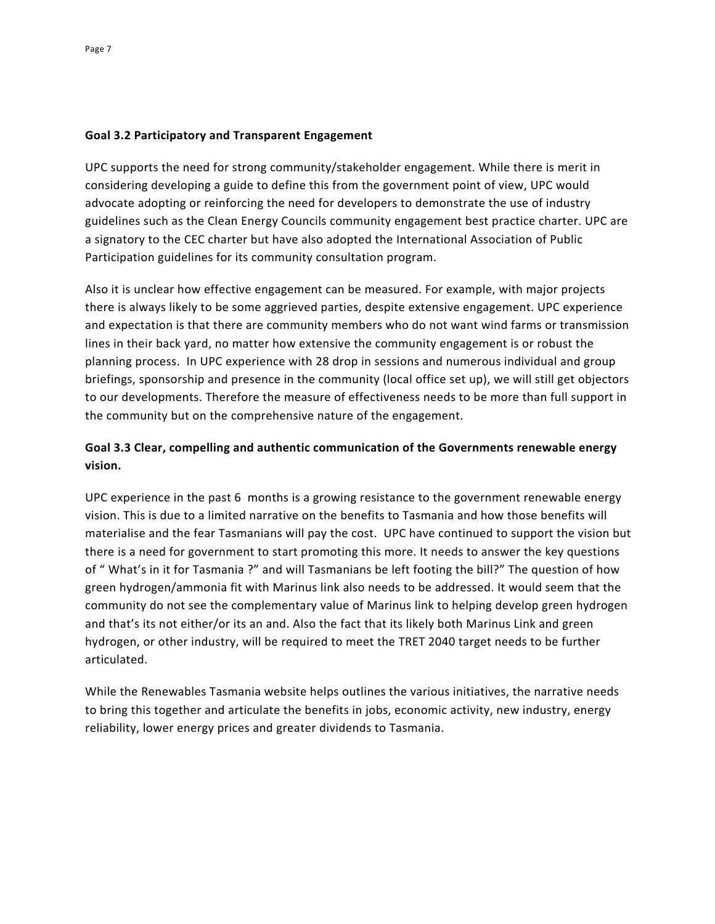## **Goal 3.2 Participatory and Transparent Engagement**

UPC supports the need for strong community/stakeholder engagement. While there is merit in considering developing a guide to define this from the government point of view, UPC would advocate adopting or reinforcing the need for developers to demonstrate the use of industry guidelines such as the Clean Energy Councils community engagement best practice charter. UPC are a signatory to the CEC charter but have also adopted the International Association of Public Participation guidelines for its community consultation program.

Also it is unclear how effective engagement can be measured. For example, with major projects there is always likely to be some aggrieved parties, despite extensive engagement. UPC experience and expectation is that there are community members who do not want wind farms or transmission lines in their back yard, no matter how extensive the community engagement is or robust the planning process. In UPC experience with 28 drop in sessions and numerous individual and group briefings, sponsorship and presence in the community (local office set up), we will still get objectors to our developments. Therefore the measure of effectiveness needs to be more than full support in the community but on the comprehensive nature of the engagement.

# **Goal 3.3 Clear, compelling and authentic communication of the Governments renewable energy vision.**

UPC experience in the past 6 months is a growing resistance to the government renewable energy vision. This is due to a limited narrative on the benefits to Tasmania and how those benefits will materialise and the fear Tasmanians will pay the cost. UPC have continued to support the vision but there is a need for government to start promoting this more. It needs to answer the key questions of " What's in it for Tasmania ?" and will Tasmanians be left footing the bill?" The question of how green hydrogen/ammonia fit with Marinus link also needs to be addressed. It would seem that the community do not see the complementary value of Marinus link to helping develop green hydrogen and that's its not either/or its an and. Also the fact that its likely both Marinus Link and green hydrogen, or other industry, will be required to meet the TRET 2040 target needs to be further articulated.

While the Renewables Tasmania website helps outlines the various initiatives, the narrative needs to bring this together and articulate the benefits in jobs, economic activity, new industry, energy reliability, lower energy prices and greater dividends to Tasmania.